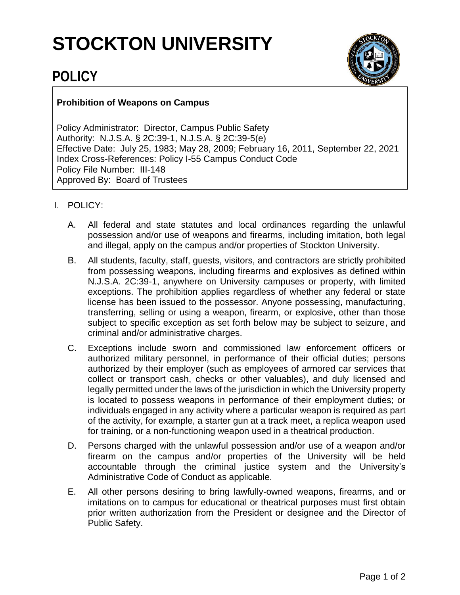## **STOCKTON UNIVERSITY**



## **POLICY**

## **Prohibition of Weapons on Campus**

Policy Administrator: Director, Campus Public Safety Authority: N.J.S.A. § 2C:39-1, N.J.S.A. § 2C:39-5(e) Effective Date: July 25, 1983; May 28, 2009; February 16, 2011, September 22, 2021 Index Cross-References: Policy I-55 Campus Conduct Code Policy File Number: III-148 Approved By: Board of Trustees

- I. POLICY:
	- A. All federal and state statutes and local ordinances regarding the unlawful possession and/or use of weapons and firearms, including imitation, both legal and illegal, apply on the campus and/or properties of Stockton University.
	- B. All students, faculty, staff, guests, visitors, and contractors are strictly prohibited from possessing weapons, including firearms and explosives as defined within N.J.S.A. 2C:39-1, anywhere on University campuses or property, with limited exceptions. The prohibition applies regardless of whether any federal or state license has been issued to the possessor. Anyone possessing, manufacturing, transferring, selling or using a weapon, firearm, or explosive, other than those subject to specific exception as set forth below may be subject to seizure, and criminal and/or administrative charges.
	- C. Exceptions include sworn and commissioned law enforcement officers or authorized military personnel, in performance of their official duties; persons authorized by their employer (such as employees of armored car services that collect or transport cash, checks or other valuables), and duly licensed and legally permitted under the laws of the jurisdiction in which the University property is located to possess weapons in performance of their employment duties; or individuals engaged in any activity where a particular weapon is required as part of the activity, for example, a starter gun at a track meet, a replica weapon used for training, or a non-functioning weapon used in a theatrical production.
	- D. Persons charged with the unlawful possession and/or use of a weapon and/or firearm on the campus and/or properties of the University will be held accountable through the criminal justice system and the University's Administrative Code of Conduct as applicable.
	- E. All other persons desiring to bring lawfully-owned weapons, firearms, and or imitations on to campus for educational or theatrical purposes must first obtain prior written authorization from the President or designee and the Director of Public Safety.